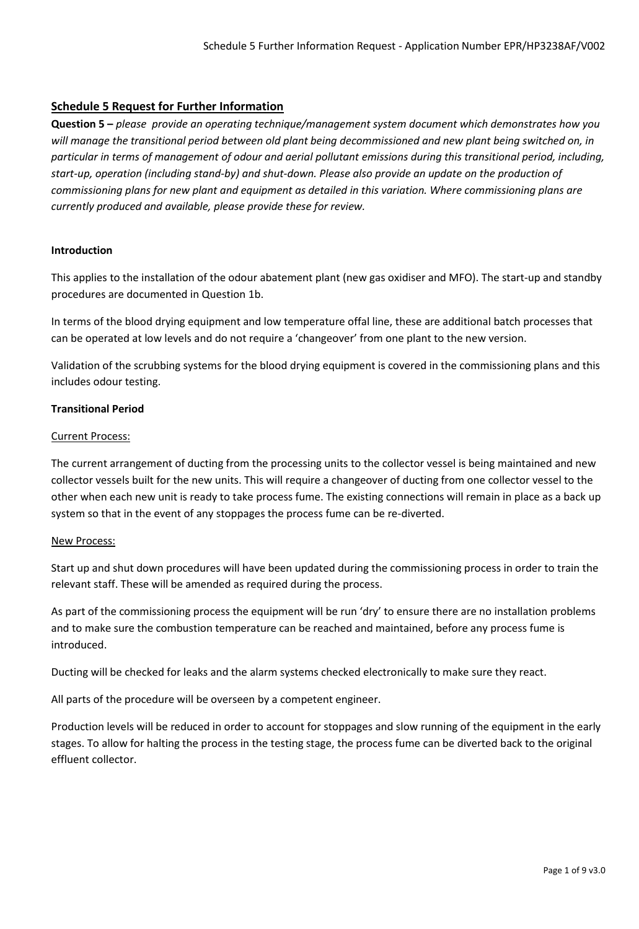# **Schedule 5 Request for Further Information**

**Question 5 –** *please provide an operating technique/management system document which demonstrates how you*  will manage the transitional period between old plant being decommissioned and new plant being switched on, in *particular in terms of management of odour and aerial pollutant emissions during this transitional period, including, start-up, operation (including stand-by) and shut-down. Please also provide an update on the production of commissioning plans for new plant and equipment as detailed in this variation. Where commissioning plans are currently produced and available, please provide these for review.* 

## **Introduction**

This applies to the installation of the odour abatement plant (new gas oxidiser and MFO). The start-up and standby procedures are documented in Question 1b.

In terms of the blood drying equipment and low temperature offal line, these are additional batch processes that can be operated at low levels and do not require a 'changeover' from one plant to the new version.

Validation of the scrubbing systems for the blood drying equipment is covered in the commissioning plans and this includes odour testing.

## **Transitional Period**

#### Current Process:

The current arrangement of ducting from the processing units to the collector vessel is being maintained and new collector vessels built for the new units. This will require a changeover of ducting from one collector vessel to the other when each new unit is ready to take process fume. The existing connections will remain in place as a back up system so that in the event of any stoppages the process fume can be re-diverted.

#### New Process:

Start up and shut down procedures will have been updated during the commissioning process in order to train the relevant staff. These will be amended as required during the process.

As part of the commissioning process the equipment will be run 'dry' to ensure there are no installation problems and to make sure the combustion temperature can be reached and maintained, before any process fume is introduced.

Ducting will be checked for leaks and the alarm systems checked electronically to make sure they react.

All parts of the procedure will be overseen by a competent engineer.

Production levels will be reduced in order to account for stoppages and slow running of the equipment in the early stages. To allow for halting the process in the testing stage, the process fume can be diverted back to the original effluent collector.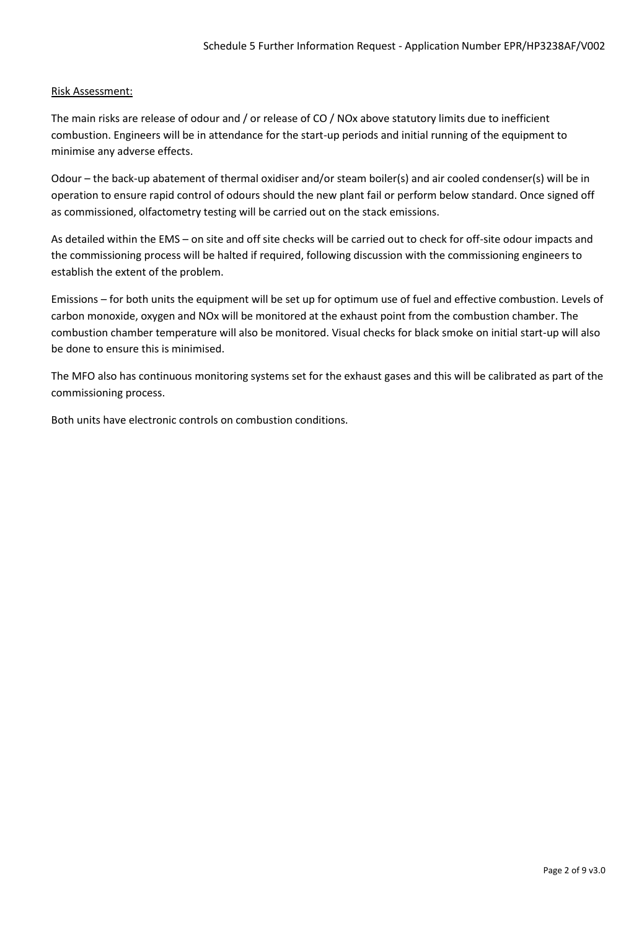## Risk Assessment:

The main risks are release of odour and / or release of CO / NOx above statutory limits due to inefficient combustion. Engineers will be in attendance for the start-up periods and initial running of the equipment to minimise any adverse effects.

Odour – the back-up abatement of thermal oxidiser and/or steam boiler(s) and air cooled condenser(s) will be in operation to ensure rapid control of odours should the new plant fail or perform below standard. Once signed off as commissioned, olfactometry testing will be carried out on the stack emissions.

As detailed within the EMS – on site and off site checks will be carried out to check for off-site odour impacts and the commissioning process will be halted if required, following discussion with the commissioning engineers to establish the extent of the problem.

Emissions – for both units the equipment will be set up for optimum use of fuel and effective combustion. Levels of carbon monoxide, oxygen and NOx will be monitored at the exhaust point from the combustion chamber. The combustion chamber temperature will also be monitored. Visual checks for black smoke on initial start-up will also be done to ensure this is minimised.

The MFO also has continuous monitoring systems set for the exhaust gases and this will be calibrated as part of the commissioning process.

Both units have electronic controls on combustion conditions.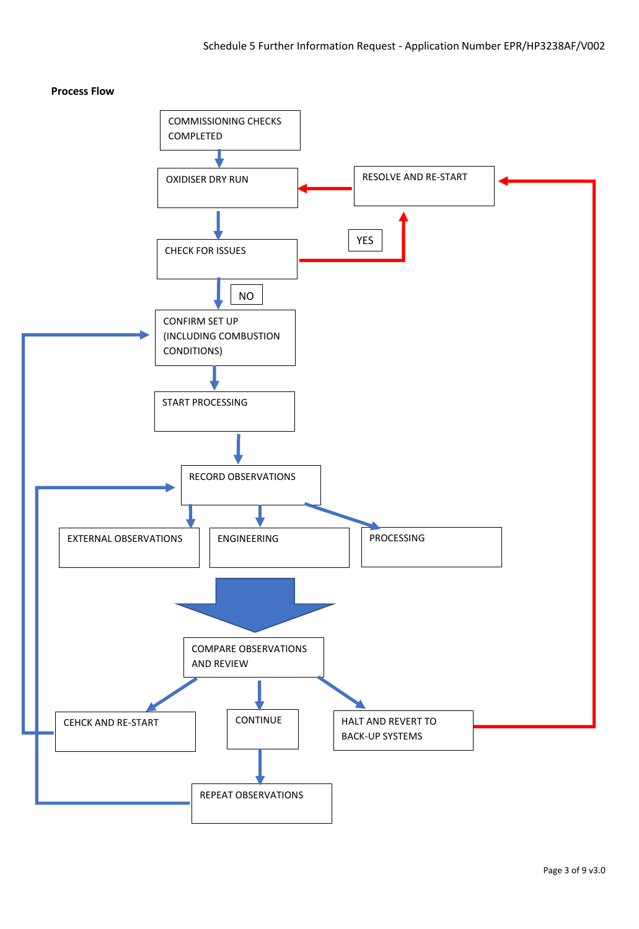# **Process Flow**

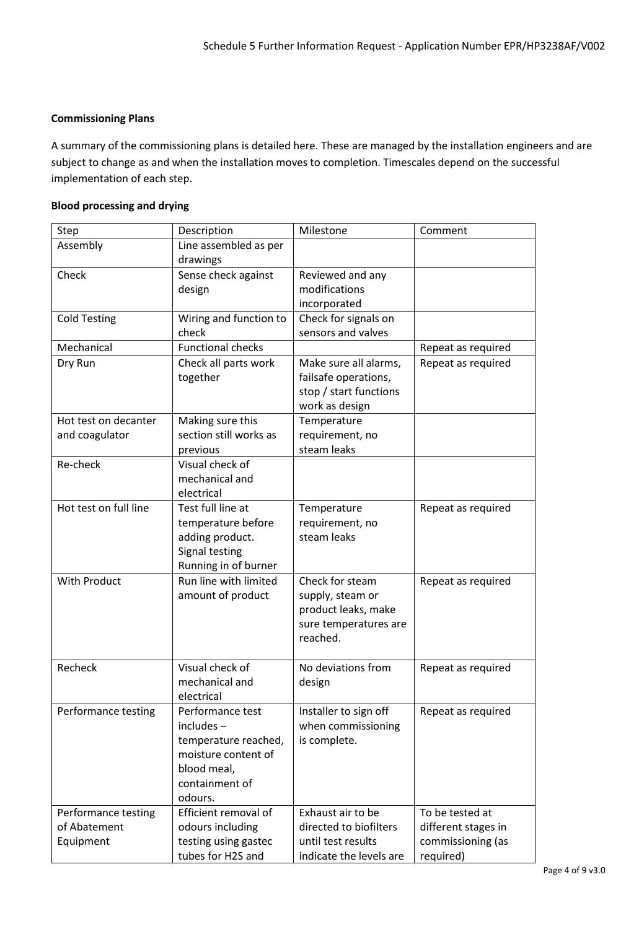# **Commissioning Plans**

A summary of the commissioning plans is detailed here. These are managed by the installation engineers and are subject to change as and when the installation moves to completion. Timescales depend on the successful implementation of each step.

# **Blood processing and drying**

| Step                                             | Description                                                                                                                 | Milestone                                                                                       | Comment                                                                  |
|--------------------------------------------------|-----------------------------------------------------------------------------------------------------------------------------|-------------------------------------------------------------------------------------------------|--------------------------------------------------------------------------|
| Assembly                                         | Line assembled as per<br>drawings                                                                                           |                                                                                                 |                                                                          |
| Check                                            | Sense check against<br>design                                                                                               | Reviewed and any<br>modifications<br>incorporated                                               |                                                                          |
| <b>Cold Testing</b>                              | Wiring and function to<br>check                                                                                             | Check for signals on<br>sensors and valves                                                      |                                                                          |
| Mechanical                                       | <b>Functional checks</b>                                                                                                    |                                                                                                 | Repeat as required                                                       |
| Dry Run                                          | Check all parts work<br>together                                                                                            | Make sure all alarms,<br>failsafe operations,<br>stop / start functions<br>work as design       | Repeat as required                                                       |
| Hot test on decanter<br>and coagulator           | Making sure this<br>section still works as<br>previous                                                                      | Temperature<br>requirement, no<br>steam leaks                                                   |                                                                          |
| Re-check                                         | Visual check of<br>mechanical and<br>electrical                                                                             |                                                                                                 |                                                                          |
| Hot test on full line                            | Test full line at<br>temperature before<br>adding product.<br>Signal testing<br>Running in of burner                        | Temperature<br>requirement, no<br>steam leaks                                                   | Repeat as required                                                       |
| With Product                                     | Run line with limited<br>amount of product                                                                                  | Check for steam<br>supply, steam or<br>product leaks, make<br>sure temperatures are<br>reached. | Repeat as required                                                       |
| Recheck                                          | Visual check of<br>mechanical and<br>electrical                                                                             | No deviations from<br>design                                                                    | Repeat as required                                                       |
| Performance testing                              | Performance test<br>$includes -$<br>temperature reached,<br>moisture content of<br>blood meal,<br>containment of<br>odours. | Installer to sign off<br>when commissioning<br>is complete.                                     | Repeat as required                                                       |
| Performance testing<br>of Abatement<br>Equipment | Efficient removal of<br>odours including<br>testing using gastec<br>tubes for H2S and                                       | Exhaust air to be<br>directed to biofilters<br>until test results<br>indicate the levels are    | To be tested at<br>different stages in<br>commissioning (as<br>required) |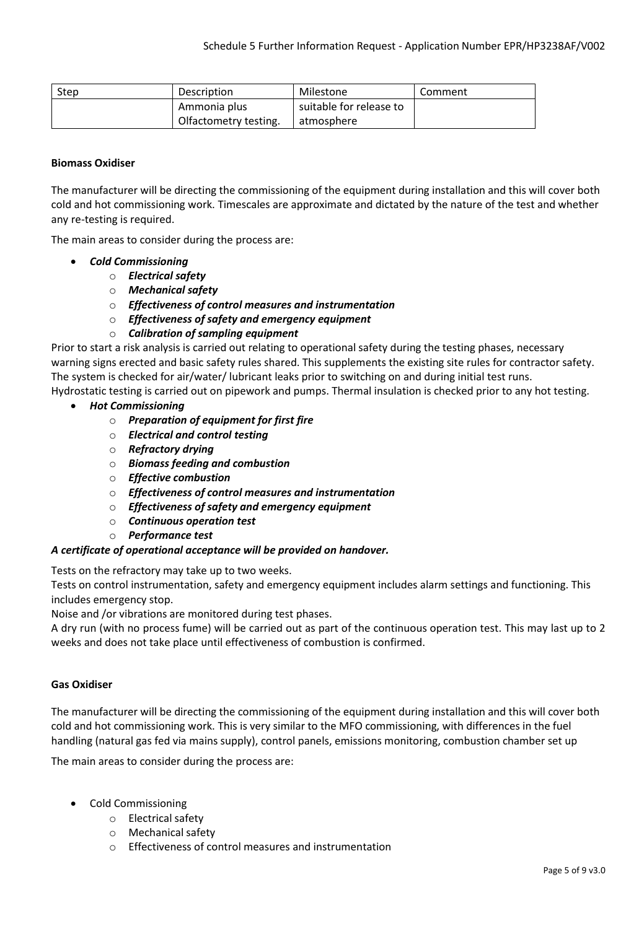| <b>Step</b> | Description           | Milestone               | Comment |
|-------------|-----------------------|-------------------------|---------|
|             | Ammonia plus          | suitable for release to |         |
|             | Olfactometry testing. | atmosphere              |         |

## **Biomass Oxidiser**

The manufacturer will be directing the commissioning of the equipment during installation and this will cover both cold and hot commissioning work. Timescales are approximate and dictated by the nature of the test and whether any re-testing is required.

The main areas to consider during the process are:

- *Cold Commissioning*
	- o *Electrical safety*
	- o *Mechanical safety*
	- o *Effectiveness of control measures and instrumentation*
	- o *Effectiveness of safety and emergency equipment*

# o *Calibration of sampling equipment*

Prior to start a risk analysis is carried out relating to operational safety during the testing phases, necessary warning signs erected and basic safety rules shared. This supplements the existing site rules for contractor safety. The system is checked for air/water/ lubricant leaks prior to switching on and during initial test runs. Hydrostatic testing is carried out on pipework and pumps. Thermal insulation is checked prior to any hot testing.

- *Hot Commissioning*
	- o *Preparation of equipment for first fire*
	- o *Electrical and control testing*
	- o *Refractory drying*
	- o *Biomass feeding and combustion*
	- o *Effective combustion*
	- o *Effectiveness of control measures and instrumentation*
	- o *Effectiveness of safety and emergency equipment*
	- o *Continuous operation test*
	- o *Performance test*

#### *A certificate of operational acceptance will be provided on handover.*

Tests on the refractory may take up to two weeks.

Tests on control instrumentation, safety and emergency equipment includes alarm settings and functioning. This includes emergency stop.

Noise and /or vibrations are monitored during test phases.

A dry run (with no process fume) will be carried out as part of the continuous operation test. This may last up to 2 weeks and does not take place until effectiveness of combustion is confirmed.

#### **Gas Oxidiser**

The manufacturer will be directing the commissioning of the equipment during installation and this will cover both cold and hot commissioning work. This is very similar to the MFO commissioning, with differences in the fuel handling (natural gas fed via mains supply), control panels, emissions monitoring, combustion chamber set up

The main areas to consider during the process are:

- Cold Commissioning
	- o Electrical safety
	- o Mechanical safety
	- o Effectiveness of control measures and instrumentation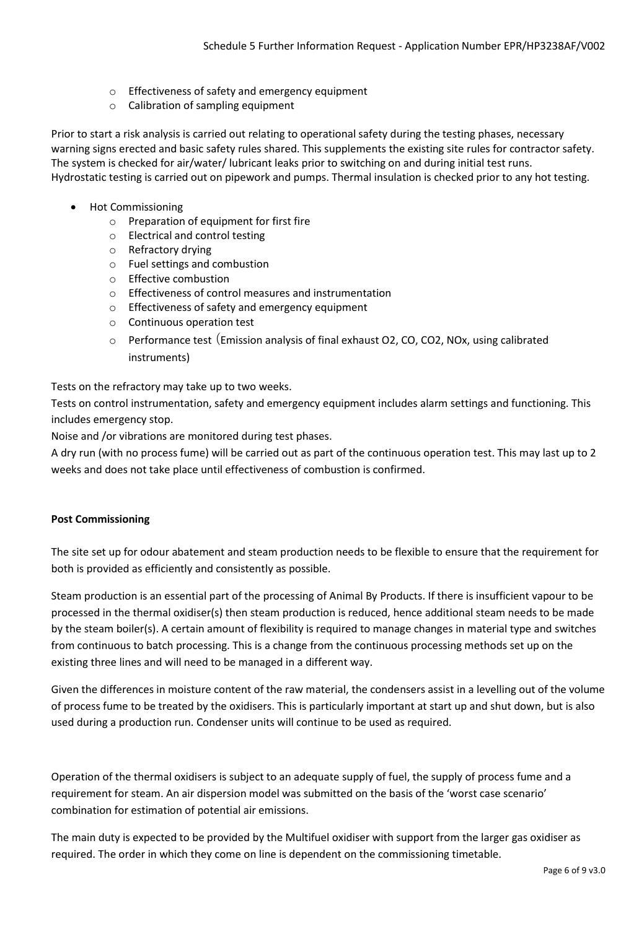- o Effectiveness of safety and emergency equipment
- o Calibration of sampling equipment

Prior to start a risk analysis is carried out relating to operational safety during the testing phases, necessary warning signs erected and basic safety rules shared. This supplements the existing site rules for contractor safety. The system is checked for air/water/ lubricant leaks prior to switching on and during initial test runs. Hydrostatic testing is carried out on pipework and pumps. Thermal insulation is checked prior to any hot testing.

- Hot Commissioning
	- o Preparation of equipment for first fire
	- o Electrical and control testing
	- o Refractory drying
	- o Fuel settings and combustion
	- o Effective combustion
	- o Effectiveness of control measures and instrumentation
	- o Effectiveness of safety and emergency equipment
	- o Continuous operation test
	- $\circ$  Performance test (Emission analysis of final exhaust O2, CO, CO2, NOx, using calibrated instruments)

Tests on the refractory may take up to two weeks.

Tests on control instrumentation, safety and emergency equipment includes alarm settings and functioning. This includes emergency stop.

Noise and /or vibrations are monitored during test phases.

A dry run (with no process fume) will be carried out as part of the continuous operation test. This may last up to 2 weeks and does not take place until effectiveness of combustion is confirmed.

#### **Post Commissioning**

The site set up for odour abatement and steam production needs to be flexible to ensure that the requirement for both is provided as efficiently and consistently as possible.

Steam production is an essential part of the processing of Animal By Products. If there is insufficient vapour to be processed in the thermal oxidiser(s) then steam production is reduced, hence additional steam needs to be made by the steam boiler(s). A certain amount of flexibility is required to manage changes in material type and switches from continuous to batch processing. This is a change from the continuous processing methods set up on the existing three lines and will need to be managed in a different way.

Given the differences in moisture content of the raw material, the condensers assist in a levelling out of the volume of process fume to be treated by the oxidisers. This is particularly important at start up and shut down, but is also used during a production run. Condenser units will continue to be used as required.

Operation of the thermal oxidisers is subject to an adequate supply of fuel, the supply of process fume and a requirement for steam. An air dispersion model was submitted on the basis of the 'worst case scenario' combination for estimation of potential air emissions.

The main duty is expected to be provided by the Multifuel oxidiser with support from the larger gas oxidiser as required. The order in which they come on line is dependent on the commissioning timetable.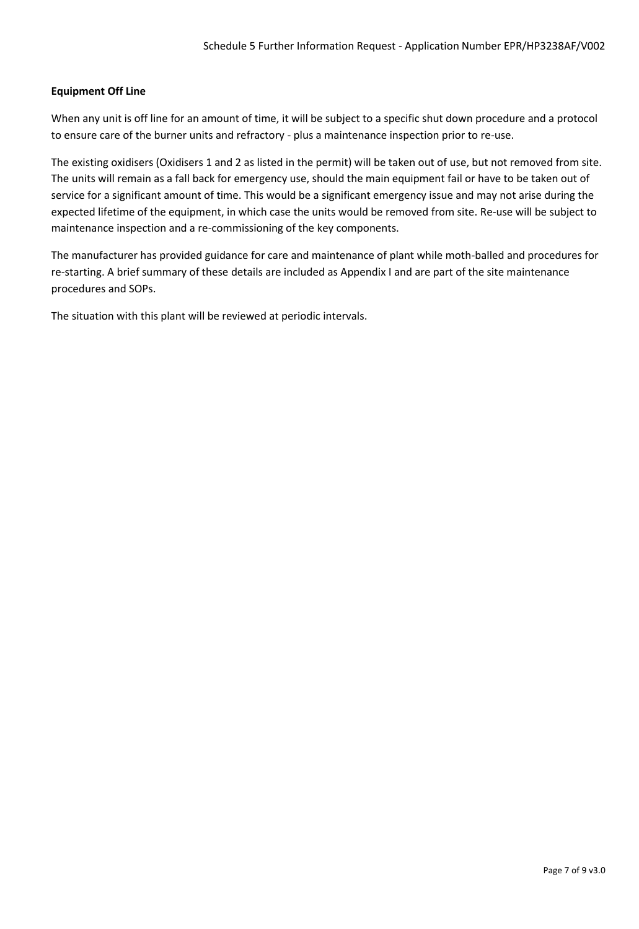# **Equipment Off Line**

When any unit is off line for an amount of time, it will be subject to a specific shut down procedure and a protocol to ensure care of the burner units and refractory - plus a maintenance inspection prior to re-use.

The existing oxidisers (Oxidisers 1 and 2 as listed in the permit) will be taken out of use, but not removed from site. The units will remain as a fall back for emergency use, should the main equipment fail or have to be taken out of service for a significant amount of time. This would be a significant emergency issue and may not arise during the expected lifetime of the equipment, in which case the units would be removed from site. Re-use will be subject to maintenance inspection and a re-commissioning of the key components.

The manufacturer has provided guidance for care and maintenance of plant while moth-balled and procedures for re-starting. A brief summary of these details are included as Appendix I and are part of the site maintenance procedures and SOPs.

The situation with this plant will be reviewed at periodic intervals.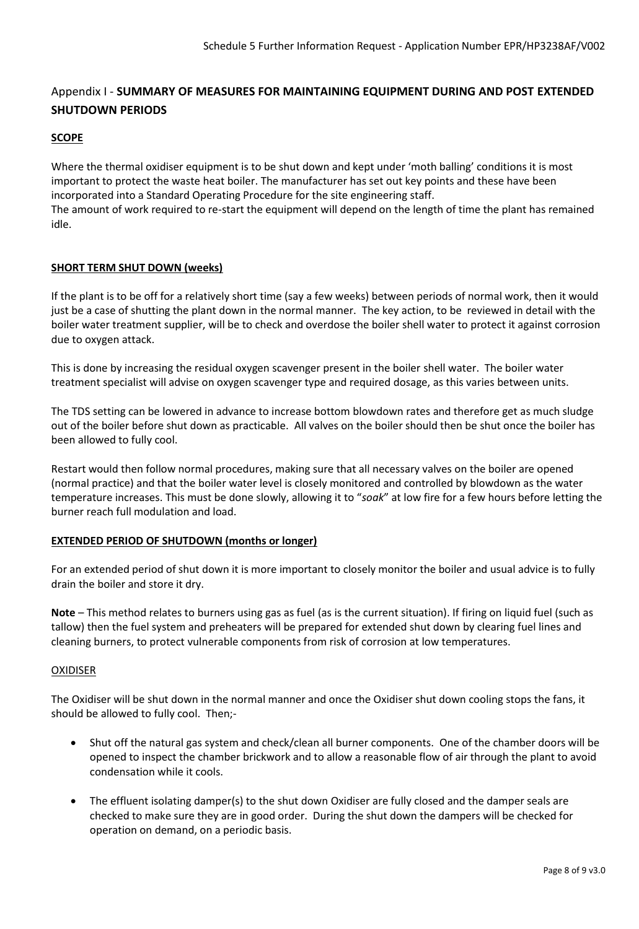# Appendix I - **SUMMARY OF MEASURES FOR MAINTAINING EQUIPMENT DURING AND POST EXTENDED SHUTDOWN PERIODS**

# **SCOPE**

Where the thermal oxidiser equipment is to be shut down and kept under 'moth balling' conditions it is most important to protect the waste heat boiler. The manufacturer has set out key points and these have been incorporated into a Standard Operating Procedure for the site engineering staff.

The amount of work required to re-start the equipment will depend on the length of time the plant has remained idle.

# **SHORT TERM SHUT DOWN (weeks)**

If the plant is to be off for a relatively short time (say a few weeks) between periods of normal work, then it would just be a case of shutting the plant down in the normal manner. The key action, to be reviewed in detail with the boiler water treatment supplier, will be to check and overdose the boiler shell water to protect it against corrosion due to oxygen attack.

This is done by increasing the residual oxygen scavenger present in the boiler shell water. The boiler water treatment specialist will advise on oxygen scavenger type and required dosage, as this varies between units.

The TDS setting can be lowered in advance to increase bottom blowdown rates and therefore get as much sludge out of the boiler before shut down as practicable. All valves on the boiler should then be shut once the boiler has been allowed to fully cool.

Restart would then follow normal procedures, making sure that all necessary valves on the boiler are opened (normal practice) and that the boiler water level is closely monitored and controlled by blowdown as the water temperature increases. This must be done slowly, allowing it to "*soak*" at low fire for a few hours before letting the burner reach full modulation and load.

# **EXTENDED PERIOD OF SHUTDOWN (months or longer)**

For an extended period of shut down it is more important to closely monitor the boiler and usual advice is to fully drain the boiler and store it dry.

**Note** – This method relates to burners using gas as fuel (as is the current situation). If firing on liquid fuel (such as tallow) then the fuel system and preheaters will be prepared for extended shut down by clearing fuel lines and cleaning burners, to protect vulnerable components from risk of corrosion at low temperatures.

# OXIDISER

The Oxidiser will be shut down in the normal manner and once the Oxidiser shut down cooling stops the fans, it should be allowed to fully cool. Then;-

- Shut off the natural gas system and check/clean all burner components. One of the chamber doors will be opened to inspect the chamber brickwork and to allow a reasonable flow of air through the plant to avoid condensation while it cools.
- The effluent isolating damper(s) to the shut down Oxidiser are fully closed and the damper seals are checked to make sure they are in good order. During the shut down the dampers will be checked for operation on demand, on a periodic basis.